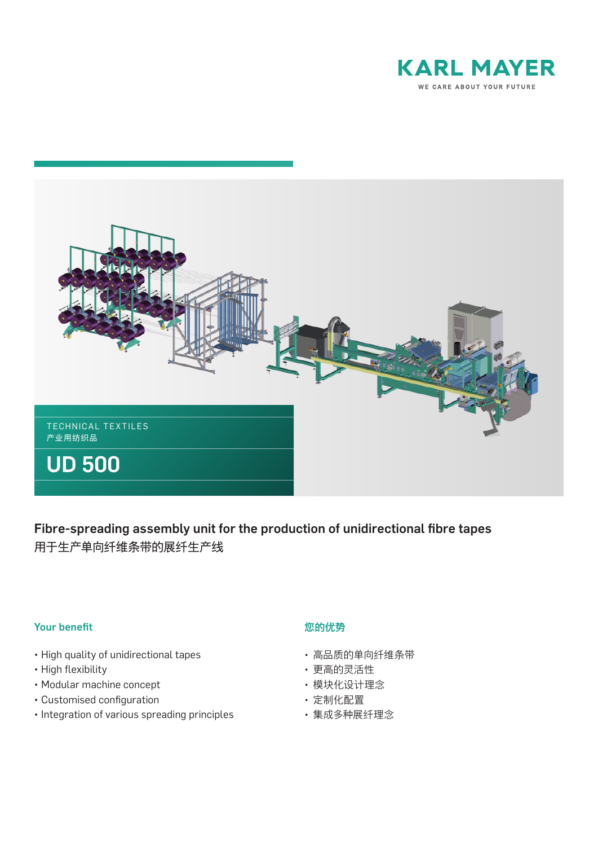



Fibre-spreading assembly unit for the production of unidirectional fibre tapes 用于生产单向纤维条带的展纤生产线

## Your benefit

- High quality of unidirectional tapes
- High flexibility
- Modular machine concept
- Customised configuration
- Integration of various spreading principles

## 您的优势

- 高品质的单向纤维条带
- 更高的灵活性
- 模块化设计理念
- 定制化配置
- 集成多种展纤理念